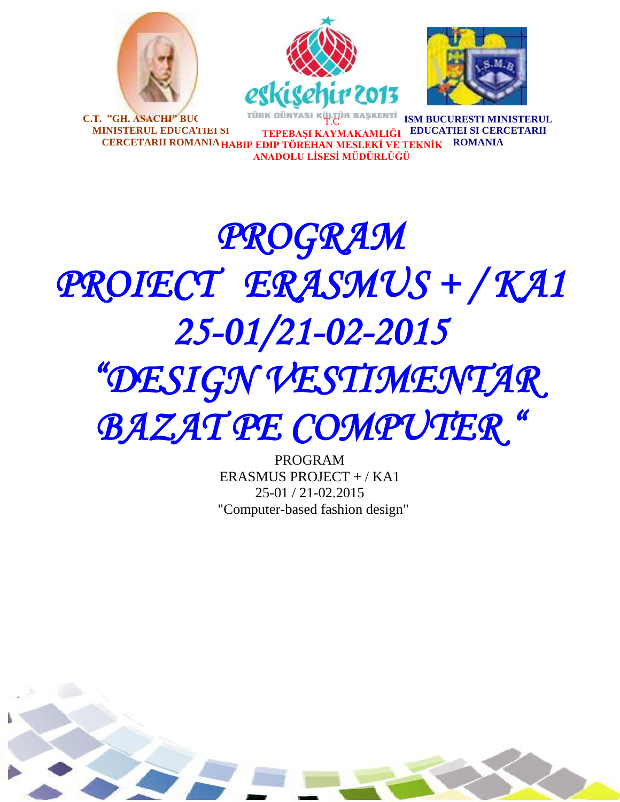





**C.T. "GH. ASACHI" BUC MINISTERUL EDUCATIEI SI CERCETARII ROMANIA HABIP EDIP TÖREHAN MESLEKİ VE TEKNİK ROMANIA** T.C **TEPEBAŞI KAYMAKAMLIĞI EDUCATIEI SI CERCETARII ANADOLU LİSESİ MÜDÜRLÜĞÜ ISM BUCURES** 

# *PROGRAM PROIECT ERASMUS + / KA1 25-01/21-02-2015 "DESIGN VESTIMENTAR*

*BAZAT PE COMPUTER "* 

PROGRAM ERASMUS PROJECT + / KA1 25-01 / 21-02.2015 "Computer-based fashion design"

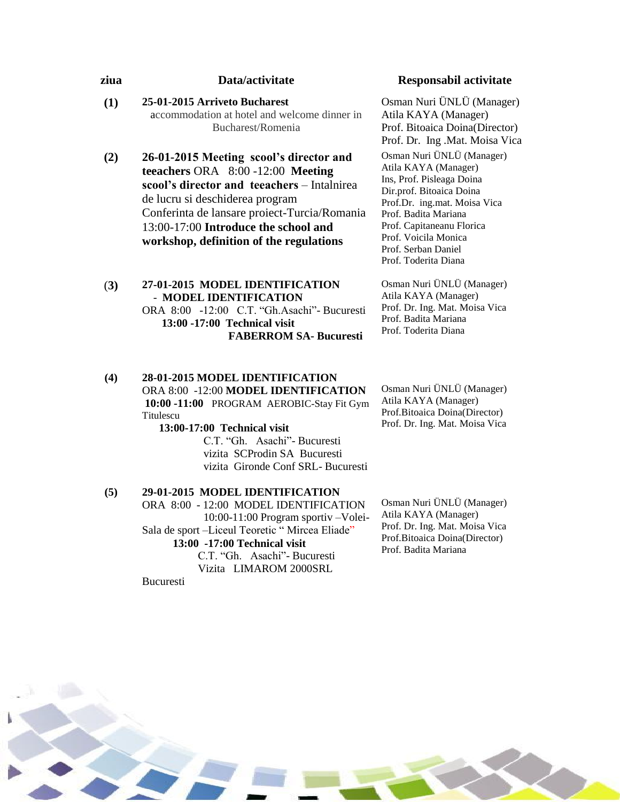# **ziua Data/activitate Responsabil activitate**

**(1) 25-01-2015 Arriveto Bucharest** accommodation at hotel and welcome dinner in Bucharest/Romenia

**(2) 26-01-2015 Meeting scool's director and teeachers** ORA 8:00 -12:00 **Meeting scool's director and teeachers** – Intalnirea de lucru si deschiderea program Conferinta de lansare proiect-Turcia/Romania 13:00-17:00 **Introduce the school and workshop, definition of the regulations**

#### (**3) 27-01-2015 MODEL IDENTIFICATION** - **MODEL IDENTIFICATION** ORA 8:00 -12:00 C.T. "Gh.Asachi"- Bucuresti  **13:00 -17:00 Technical visit FABERROM SA- Bucuresti**

#### **(4) 28-01-2015 MODEL IDENTIFICATION** ORA 8:00 -12:00 **MODEL IDENTIFICATION 10:00 -11:00** PROGRAM AEROBIC-Stay Fit Gym Titulescu **13:00-17:00 Technical visit**

 C.T. "Gh. Asachi"- Bucuresti vizita SCProdin SA Bucuresti vizita Gironde Conf SRL- Bucuresti

#### **(5) 29-01-2015 MODEL IDENTIFICATION** ORA 8:00 - 12:00 MODEL IDENTIFICATION 10:00-11:00 Program sportiv –Volei-Sala de sport –Liceul Teoretic " Mircea Eliade" **13:00 -17:00 Technical visit**

 C.T. "Gh. Asachi"- Bucuresti Vizita LIMAROM 2000SRL

Bucuresti

Osman Nuri ÜNLÜ (Manager) Atila KAYA (Manager) Prof. Bitoaica Doina(Director) Prof. Dr. Ing .Mat. Moisa Vica

Osman Nuri ÜNLÜ (Manager) Atila KAYA (Manager) Ins, Prof. Pisleaga Doina Dir.prof. Bitoaica Doina Prof.Dr. ing.mat. Moisa Vica Prof. Badita Mariana Prof. Capitaneanu Florica Prof. Voicila Monica Prof. Serban Daniel Prof. Toderita Diana

Osman Nuri ÜNLÜ (Manager) Atila KAYA (Manager) Prof. Dr. Ing. Mat. Moisa Vica Prof. Badita Mariana Prof. Toderita Diana

Osman Nuri ÜNLÜ (Manager) Atila KAYA (Manager) Prof.Bitoaica Doina(Director) Prof. Dr. Ing. Mat. Moisa Vica

Osman Nuri ÜNLÜ (Manager) Atila KAYA (Manager) Prof. Dr. Ing. Mat. Moisa Vica Prof.Bitoaica Doina(Director) Prof. Badita Mariana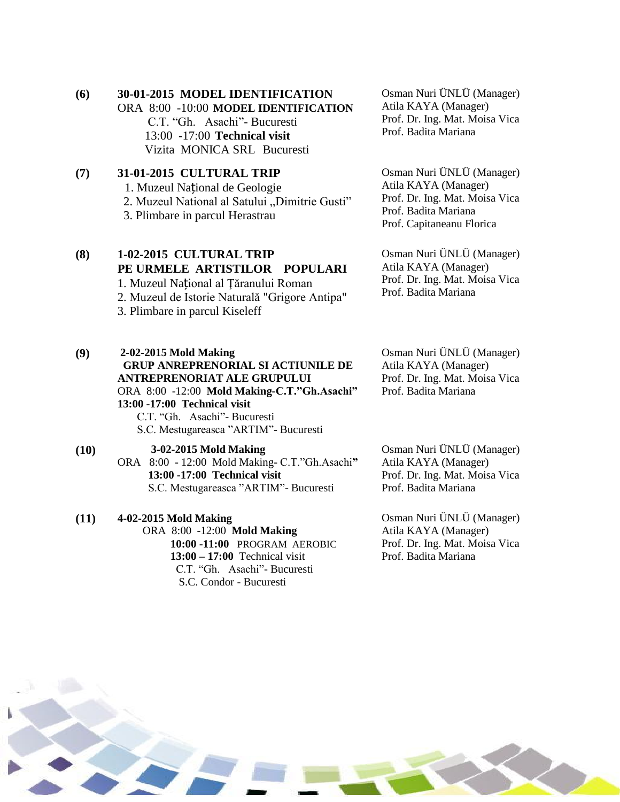#### **(6) 30-01-2015 MODEL IDENTIFICATION**

ORA 8:00 -10:00 **MODEL IDENTIFICATION**

 C.T. "Gh. Asachi"- Bucuresti 13:00 -17:00 **Technical visit** Vizita MONICA SRL Bucuresti

# **(7) 31-01-2015 CULTURAL TRIP**

- 1. Muzeul Național de Geologie
- 2. Muzeul National al Satului "Dimitrie Gusti"
- 3. Plimbare in parcul Herastrau

## **(8) 1-02-2015 CULTURAL TRIP PE URMELE ARTISTILOR POPULARI**

1. Muzeul Național al Ţăranului Roman 2. Muzeul de Istorie Naturală "Grigore Antipa" 3. Plimbare in parcul Kiseleff

# **(9) 2-02-2015 Mold Making**

## **GRUP ANREPRENORIAL SI ACTIUNILE DE ANTREPRENORIAT ALE GRUPULUI** ORA 8:00 -12:00 **Mold Making-C.T."Gh.Asachi"**

**13:00 -17:00 Technical visit** C.T. "Gh. Asachi"- Bucuresti S.C. Mestugareasca "ARTIM"- Bucuresti

#### **(10) 3-02-2015 Mold Making** ORA 8:00 - 12:00 Mold Making- C.T."Gh.Asachi**" 13:00 -17:00 Technical visit**

S.C. Mestugareasca "ARTIM"- Bucuresti

# **(11) 4-02-2015 Mold Making**

 ORA 8:00 -12:00 **Mold Making 10:00 -11:00** PROGRAM AEROBIC  **13:00 – 17:00** Technical visit C.T. "Gh. Asachi"- Bucuresti S.C. Condor - Bucuresti

Osman Nuri ÜNLÜ (Manager) Atila KAYA (Manager) Prof. Dr. Ing. Mat. Moisa Vica Prof. Badita Mariana

Osman Nuri ÜNLÜ (Manager) Atila KAYA (Manager) Prof. Dr. Ing. Mat. Moisa Vica Prof. Badita Mariana Prof. Capitaneanu Florica

Osman Nuri ÜNLÜ (Manager) Atila KAYA (Manager) Prof. Dr. Ing. Mat. Moisa Vica Prof. Badita Mariana

Osman Nuri ÜNLÜ (Manager) Atila KAYA (Manager) Prof. Dr. Ing. Mat. Moisa Vica Prof. Badita Mariana

Osman Nuri ÜNLÜ (Manager) Atila KAYA (Manager) Prof. Dr. Ing. Mat. Moisa Vica Prof. Badita Mariana

Osman Nuri ÜNLÜ (Manager) Atila KAYA (Manager) Prof. Dr. Ing. Mat. Moisa Vica Prof. Badita Mariana

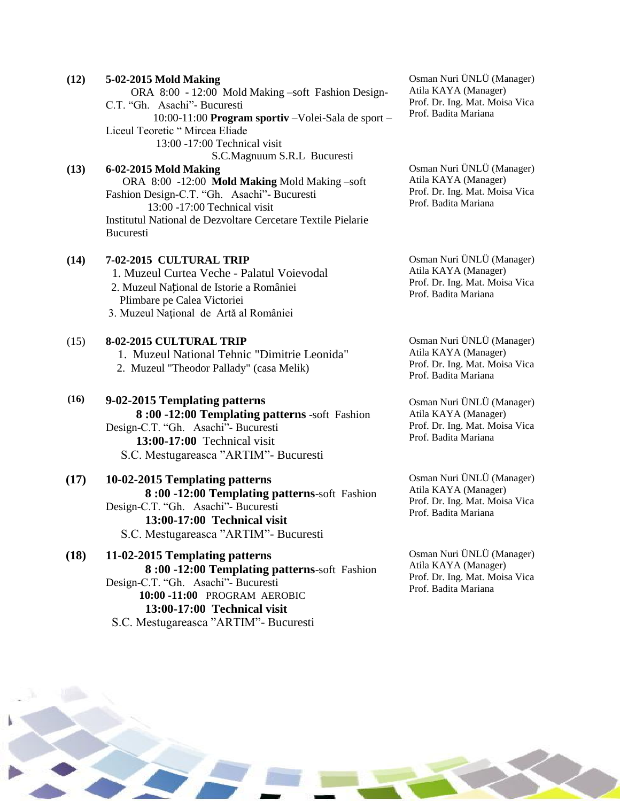| (12) | 5-02-2015 Mold Making<br>ORA 8:00 - 12:00 Mold Making -soft Fashion Design-<br>C.T. "Gh. Asachi" - Bucuresti<br>10:00-11:00 Program sportiv - Volei-Sala de sport -<br>Liceul Teoretic " Mircea Eliade<br>13:00 -17:00 Technical visit                                   | Osman Nuri ÜNLÜ (Manager)<br>Atila KAYA (Manager)<br>Prof. Dr. Ing. Mat. Moisa Vica<br>Prof. Badita Mariana |
|------|--------------------------------------------------------------------------------------------------------------------------------------------------------------------------------------------------------------------------------------------------------------------------|-------------------------------------------------------------------------------------------------------------|
| (13) | S.C.Magnuum S.R.L Bucuresti<br>6-02-2015 Mold Making<br>ORA 8:00 -12:00 Mold Making Mold Making -soft<br>Fashion Design-C.T. "Gh. Asachi"- Bucuresti<br>13:00 -17:00 Technical visit<br>Institutul National de Dezvoltare Cercetare Textile Pielarie<br><b>Bucuresti</b> | Osman Nuri ÜNLÜ (Manager)<br>Atila KAYA (Manager)<br>Prof. Dr. Ing. Mat. Moisa Vica<br>Prof. Badita Mariana |
| (14) | 7-02-2015 CULTURAL TRIP<br>1. Muzeul Curtea Veche - Palatul Voievodal<br>2. Muzeul Național de Istorie a României<br>Plimbare pe Calea Victoriei<br>3. Muzeul Național de Artă al României                                                                               | Osman Nuri ÜNLÜ (Manager)<br>Atila KAYA (Manager)<br>Prof. Dr. Ing. Mat. Moisa Vica<br>Prof. Badita Mariana |
| (15) | 8-02-2015 CULTURAL TRIP<br>1. Muzeul National Tehnic "Dimitrie Leonida"<br>2. Muzeul "Theodor Pallady" (casa Melik)                                                                                                                                                      | Osman Nuri ÜNLÜ (Manager)<br>Atila KAYA (Manager)<br>Prof. Dr. Ing. Mat. Moisa Vica<br>Prof. Badita Mariana |
| (16) | 9-02-2015 Templating patterns<br>8:00 -12:00 Templating patterns -soft Fashion<br>Design-C.T. "Gh. Asachi"- Bucuresti<br>13:00-17:00 Technical visit<br>S.C. Mestugareasca "ARTIM" - Bucuresti                                                                           | Osman Nuri ÜNLÜ (Manager)<br>Atila KAYA (Manager)<br>Prof. Dr. Ing. Mat. Moisa Vica<br>Prof. Badita Mariana |
| (17) | 10-02-2015 Templating patterns<br>8:00 -12:00 Templating patterns-soft Fashion<br>Design-C.T. "Gh. Asachi"- Bucuresti<br>13:00-17:00 Technical visit<br>S.C. Mestugareasca "ARTIM" - Bucuresti                                                                           | Osman Nuri ÜNLÜ (Manager)<br>Atila KAYA (Manager)<br>Prof. Dr. Ing. Mat. Moisa Vica<br>Prof. Badita Mariana |
| (18) | 11-02-2015 Templating patterns<br>8:00 -12:00 Templating patterns-soft Fashion<br>Design-C.T. "Gh. Asachi"- Bucuresti<br>10:00 -11:00 PROGRAM AEROBIC<br>13:00-17:00 Technical visit<br>S.C. Mestugareasca "ARTIM"- Bucuresti                                            | Osman Nuri ÜNLÜ (Manager)<br>Atila KAYA (Manager)<br>Prof. Dr. Ing. Mat. Moisa Vica<br>Prof. Badita Mariana |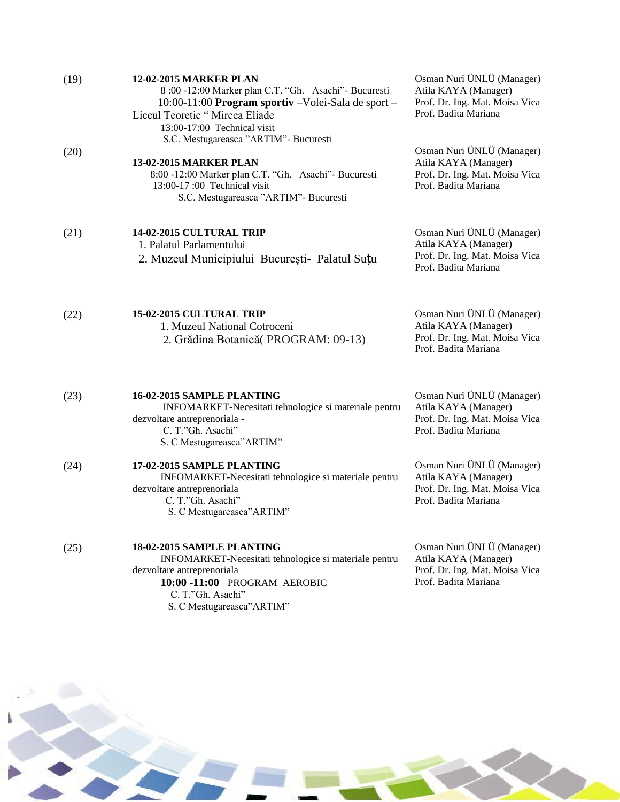| (19) | <b>12-02-2015 MARKER PLAN</b><br>8:00 -12:00 Marker plan C.T. "Gh. Asachi"- Bucuresti<br>10:00-11:00 Program sportiv - Volei-Sala de sport -<br>Liceul Teoretic "Mircea Eliade<br>13:00-17:00 Technical visit | Osman Nuri ÜNLÜ (Manager)<br>Atila KAYA (Manager)<br>Prof. Dr. Ing. Mat. Moisa Vica<br>Prof. Badita Mariana |
|------|---------------------------------------------------------------------------------------------------------------------------------------------------------------------------------------------------------------|-------------------------------------------------------------------------------------------------------------|
| (20) | S.C. Mestugareasca "ARTIM"- Bucuresti<br>13-02-2015 MARKER PLAN<br>8:00 -12:00 Marker plan C.T. "Gh. Asachi" - Bucuresti<br>13:00-17:00 Technical visit<br>S.C. Mestugareasca "ARTIM"- Bucuresti              | Osman Nuri ÜNLÜ (Manager)<br>Atila KAYA (Manager)<br>Prof. Dr. Ing. Mat. Moisa Vica<br>Prof. Badita Mariana |
| (21) | 14-02-2015 CULTURAL TRIP<br>1. Palatul Parlamentului<br>2. Muzeul Municipiului București - Palatul Suțu                                                                                                       | Osman Nuri ÜNLÜ (Manager)<br>Atila KAYA (Manager)<br>Prof. Dr. Ing. Mat. Moisa Vica<br>Prof. Badita Mariana |
| (22) | 15-02-2015 CULTURAL TRIP<br>1. Muzeul National Cotroceni<br>2. Grădina Botanică (PROGRAM: 09-13)                                                                                                              | Osman Nuri ÜNLÜ (Manager)<br>Atila KAYA (Manager)<br>Prof. Dr. Ing. Mat. Moisa Vica<br>Prof. Badita Mariana |
| (23) | 16-02-2015 SAMPLE PLANTING<br>INFOMARKET-Necesitati tehnologice si materiale pentru<br>dezvoltare antreprenoriala -<br>C. T."Gh. Asachi"<br>S. C Mestugareasca" ARTIM"                                        | Osman Nuri ÜNLÜ (Manager)<br>Atila KAYA (Manager)<br>Prof. Dr. Ing. Mat. Moisa Vica<br>Prof. Badita Mariana |
| (24) | 17-02-2015 SAMPLE PLANTING<br>INFOMARKET-Necesitati tehnologice si materiale pentru<br>dezvoltare antreprenoriala<br>C. T."Gh. Asachi"<br>S. C Mestugareasca" ARTIM"                                          | Osman Nuri ÜNLÜ (Manager)<br>Atila KAYA (Manager)<br>Prof. Dr. Ing. Mat. Moisa Vica<br>Prof. Badita Mariana |
| (25) | 18-02-2015 SAMPLE PLANTING<br>INFOMARKET-Necesitati tehnologice si materiale pentru<br>dezvoltare antreprenoriala<br>10:00 -11:00 PROGRAM AEROBIC<br>C. T."Gh. Asachi"<br>S. C Mestugareasca" ARTIM"          | Osman Nuri ÜNLÜ (Manager)<br>Atila KAYA (Manager)<br>Prof. Dr. Ing. Mat. Moisa Vica<br>Prof. Badita Mariana |